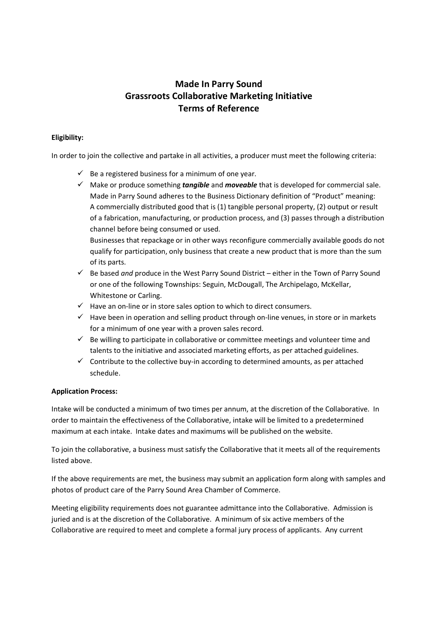## **Made In Parry Sound Grassroots Collaborative Marketing Initiative Terms of Reference**

#### **Eligibility:**

In order to join the collective and partake in all activities, a producer must meet the following criteria:

- $\checkmark$  Be a registered business for a minimum of one year.
- Make or produce something *tangible* and *moveable* that is developed for commercial sale. Made in Parry Sound adheres to the Business Dictionary definition of "Product" meaning: A commercially distributed good that is (1) tangible personal property, (2) output or result of a fabrication, manufacturing, or production process, and (3) passes through a distribution channel before being consumed or used.

Businesses that repackage or in other ways reconfigure commercially available goods do not qualify for participation, only business that create a new product that is more than the sum of its parts.

- Be based *and* produce in the West Parry Sound District either in the Town of Parry Sound or one of the following Townships: Seguin, McDougall, The Archipelago, McKellar, Whitestone or Carling.
- $\checkmark$  Have an on-line or in store sales option to which to direct consumers.
- $\checkmark$  Have been in operation and selling product through on-line venues, in store or in markets for a minimum of one year with a proven sales record.
- $\checkmark$  Be willing to participate in collaborative or committee meetings and volunteer time and talents to the initiative and associated marketing efforts, as per attached guidelines.
- $\checkmark$  Contribute to the collective buy-in according to determined amounts, as per attached schedule.

### **Application Process:**

Intake will be conducted a minimum of two times per annum, at the discretion of the Collaborative. In order to maintain the effectiveness of the Collaborative, intake will be limited to a predetermined maximum at each intake. Intake dates and maximums will be published on the website.

To join the collaborative, a business must satisfy the Collaborative that it meets all of the requirements listed above.

If the above requirements are met, the business may submit an application form along with samples and photos of product care of the Parry Sound Area Chamber of Commerce.

Meeting eligibility requirements does not guarantee admittance into the Collaborative. Admission is juried and is at the discretion of the Collaborative. A minimum of six active members of the Collaborative are required to meet and complete a formal jury process of applicants. Any current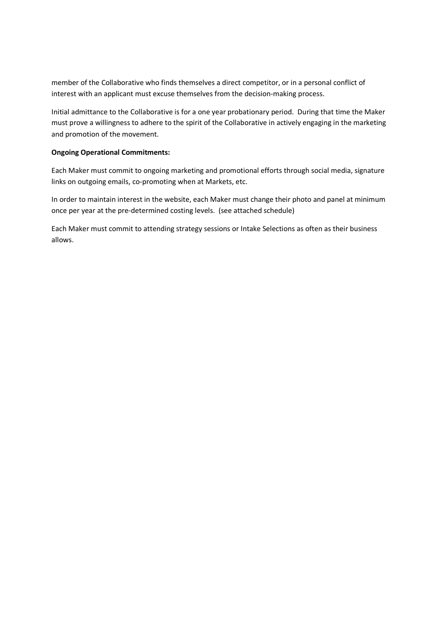member of the Collaborative who finds themselves a direct competitor, or in a personal conflict of interest with an applicant must excuse themselves from the decision-making process.

Initial admittance to the Collaborative is for a one year probationary period. During that time the Maker must prove a willingness to adhere to the spirit of the Collaborative in actively engaging in the marketing and promotion of the movement.

#### **Ongoing Operational Commitments:**

Each Maker must commit to ongoing marketing and promotional efforts through social media, signature links on outgoing emails, co-promoting when at Markets, etc.

In order to maintain interest in the website, each Maker must change their photo and panel at minimum once per year at the pre-determined costing levels. (see attached schedule)

Each Maker must commit to attending strategy sessions or Intake Selections as often as their business allows.